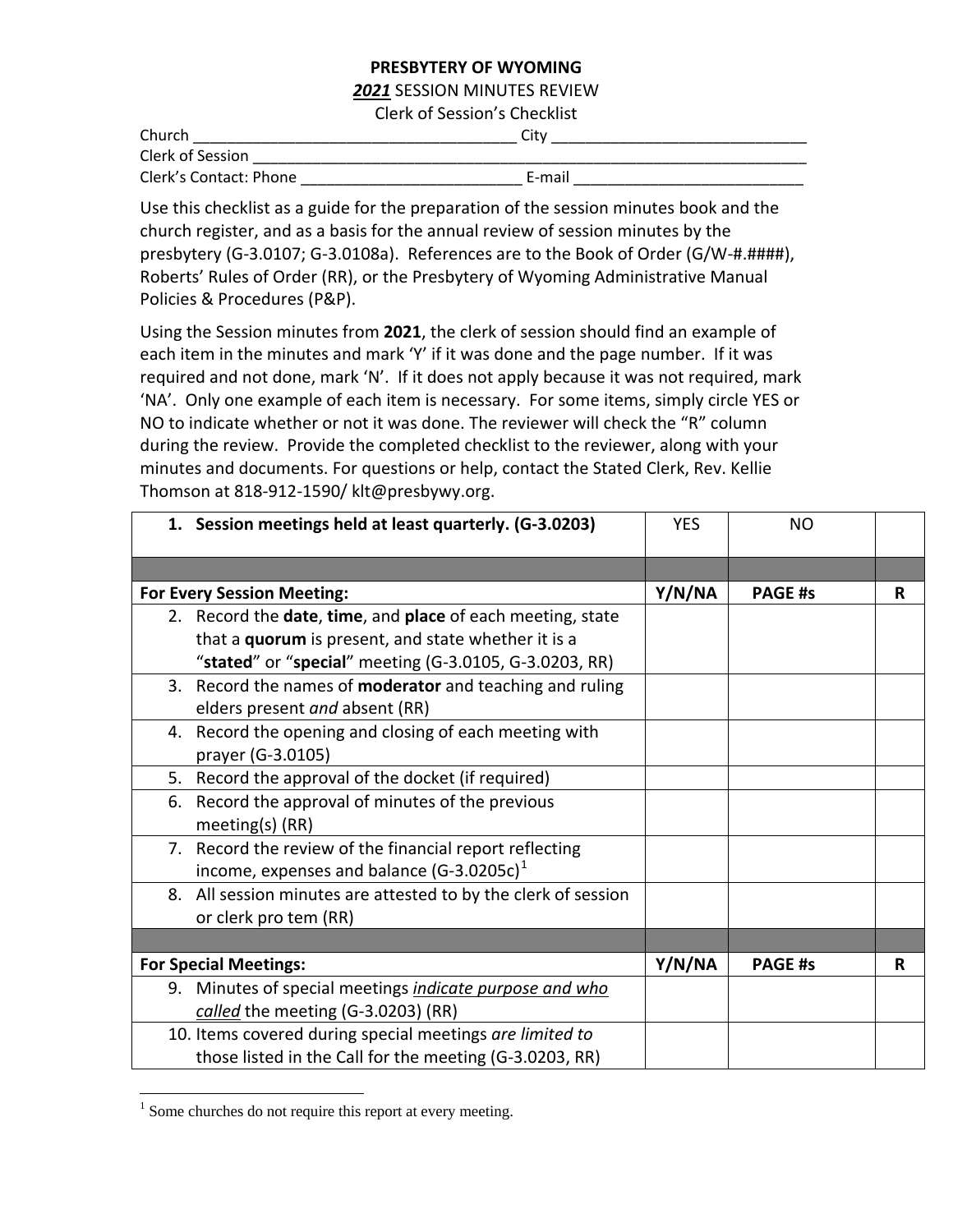## **PRESBYTERY OF WYOMING**

## *2021* SESSION MINUTES REVIEW

Clerk of Session's Checklist

| Church                 | Citv   |  |
|------------------------|--------|--|
| Clerk of Session       |        |  |
| Clerk's Contact: Phone | E-mail |  |

Use this checklist as a guide for the preparation of the session minutes book and the church register, and as a basis for the annual review of session minutes by the presbytery (G-3.0107; G-3.0108a). References are to the Book of Order (G/W-#.####), Roberts' Rules of Order (RR), or the Presbytery of Wyoming Administrative Manual Policies & Procedures (P&P).

Using the Session minutes from **2021**, the clerk of session should find an example of each item in the minutes and mark 'Y' if it was done and the page number. If it was required and not done, mark 'N'. If it does not apply because it was not required, mark 'NA'. Only one example of each item is necessary. For some items, simply circle YES or NO to indicate whether or not it was done. The reviewer will check the "R" column during the review. Provide the completed checklist to the reviewer, along with your minutes and documents. For questions or help, contact the Stated Clerk, Rev. Kellie Thomson at 818-912-1590/ klt@presbywy.org.

| 1. Session meetings held at least quarterly. (G-3.0203)                                                                                                                     | <b>YES</b> | NO             |   |
|-----------------------------------------------------------------------------------------------------------------------------------------------------------------------------|------------|----------------|---|
|                                                                                                                                                                             |            |                |   |
| <b>For Every Session Meeting:</b>                                                                                                                                           | Y/N/NA     | <b>PAGE #s</b> | R |
| 2. Record the date, time, and place of each meeting, state<br>that a quorum is present, and state whether it is a<br>"stated" or "special" meeting (G-3.0105, G-3.0203, RR) |            |                |   |
| 3. Record the names of <b>moderator</b> and teaching and ruling<br>elders present and absent (RR)                                                                           |            |                |   |
| 4. Record the opening and closing of each meeting with<br>prayer (G-3.0105)                                                                                                 |            |                |   |
| 5. Record the approval of the docket (if required)                                                                                                                          |            |                |   |
| 6. Record the approval of minutes of the previous<br>meeting(s) $(RR)$                                                                                                      |            |                |   |
| 7. Record the review of the financial report reflecting<br>income, expenses and balance (G-3.0205c) <sup>1</sup>                                                            |            |                |   |
| 8. All session minutes are attested to by the clerk of session<br>or clerk pro tem (RR)                                                                                     |            |                |   |
|                                                                                                                                                                             |            |                |   |
| <b>For Special Meetings:</b>                                                                                                                                                | Y/N/NA     | <b>PAGE #s</b> | R |
| 9. Minutes of special meetings <i>indicate purpose and who</i><br>called the meeting (G-3.0203) (RR)                                                                        |            |                |   |
| 10. Items covered during special meetings are limited to<br>those listed in the Call for the meeting (G-3.0203, RR)                                                         |            |                |   |

<sup>&</sup>lt;sup>1</sup> Some churches do not require this report at every meeting.

 $\overline{a}$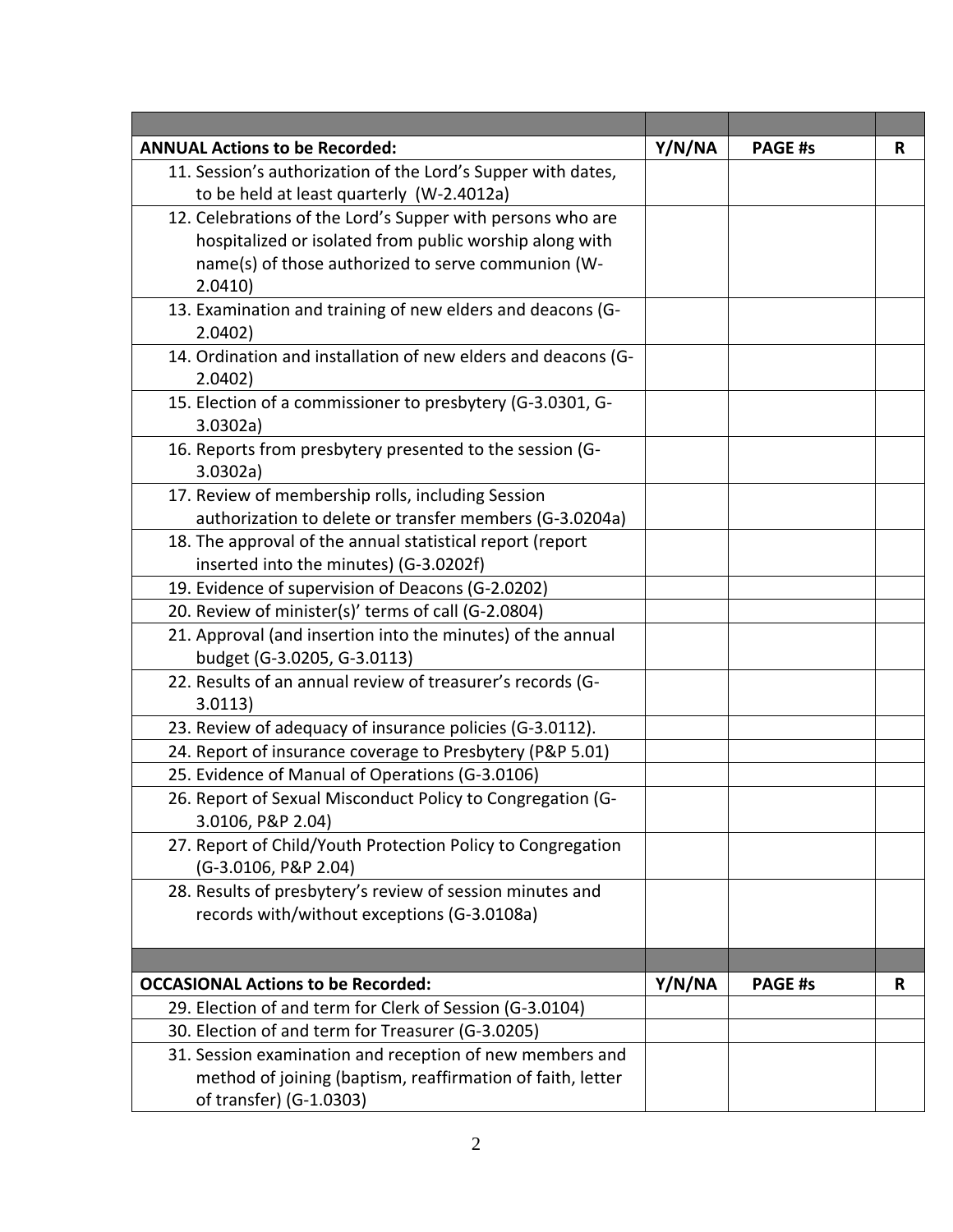| <b>ANNUAL Actions to be Recorded:</b>                         | Y/N/NA | <b>PAGE #s</b> | R |
|---------------------------------------------------------------|--------|----------------|---|
| 11. Session's authorization of the Lord's Supper with dates,  |        |                |   |
| to be held at least quarterly (W-2.4012a)                     |        |                |   |
| 12. Celebrations of the Lord's Supper with persons who are    |        |                |   |
| hospitalized or isolated from public worship along with       |        |                |   |
| name(s) of those authorized to serve communion (W-            |        |                |   |
| 2.0410)                                                       |        |                |   |
| 13. Examination and training of new elders and deacons (G-    |        |                |   |
| 2.0402)                                                       |        |                |   |
| 14. Ordination and installation of new elders and deacons (G- |        |                |   |
| 2.0402)                                                       |        |                |   |
| 15. Election of a commissioner to presbytery (G-3.0301, G-    |        |                |   |
| 3.0302a)                                                      |        |                |   |
| 16. Reports from presbytery presented to the session (G-      |        |                |   |
| 3.0302a)                                                      |        |                |   |
| 17. Review of membership rolls, including Session             |        |                |   |
| authorization to delete or transfer members (G-3.0204a)       |        |                |   |
| 18. The approval of the annual statistical report (report     |        |                |   |
| inserted into the minutes) (G-3.0202f)                        |        |                |   |
| 19. Evidence of supervision of Deacons (G-2.0202)             |        |                |   |
| 20. Review of minister(s)' terms of call (G-2.0804)           |        |                |   |
| 21. Approval (and insertion into the minutes) of the annual   |        |                |   |
| budget (G-3.0205, G-3.0113)                                   |        |                |   |
| 22. Results of an annual review of treasurer's records (G-    |        |                |   |
| 3.0113)                                                       |        |                |   |
| 23. Review of adequacy of insurance policies (G-3.0112).      |        |                |   |
| 24. Report of insurance coverage to Presbytery (P&P 5.01)     |        |                |   |
| 25. Evidence of Manual of Operations (G-3.0106)               |        |                |   |
| 26. Report of Sexual Misconduct Policy to Congregation (G-    |        |                |   |
| 3.0106, P&P 2.04)                                             |        |                |   |
| 27. Report of Child/Youth Protection Policy to Congregation   |        |                |   |
| (G-3.0106, P&P 2.04)                                          |        |                |   |
| 28. Results of presbytery's review of session minutes and     |        |                |   |
| records with/without exceptions (G-3.0108a)                   |        |                |   |
|                                                               |        |                |   |
|                                                               |        |                |   |
| <b>OCCASIONAL Actions to be Recorded:</b>                     | Y/N/NA | <b>PAGE #s</b> | R |
| 29. Election of and term for Clerk of Session (G-3.0104)      |        |                |   |
| 30. Election of and term for Treasurer (G-3.0205)             |        |                |   |
| 31. Session examination and reception of new members and      |        |                |   |
| method of joining (baptism, reaffirmation of faith, letter    |        |                |   |
| of transfer) (G-1.0303)                                       |        |                |   |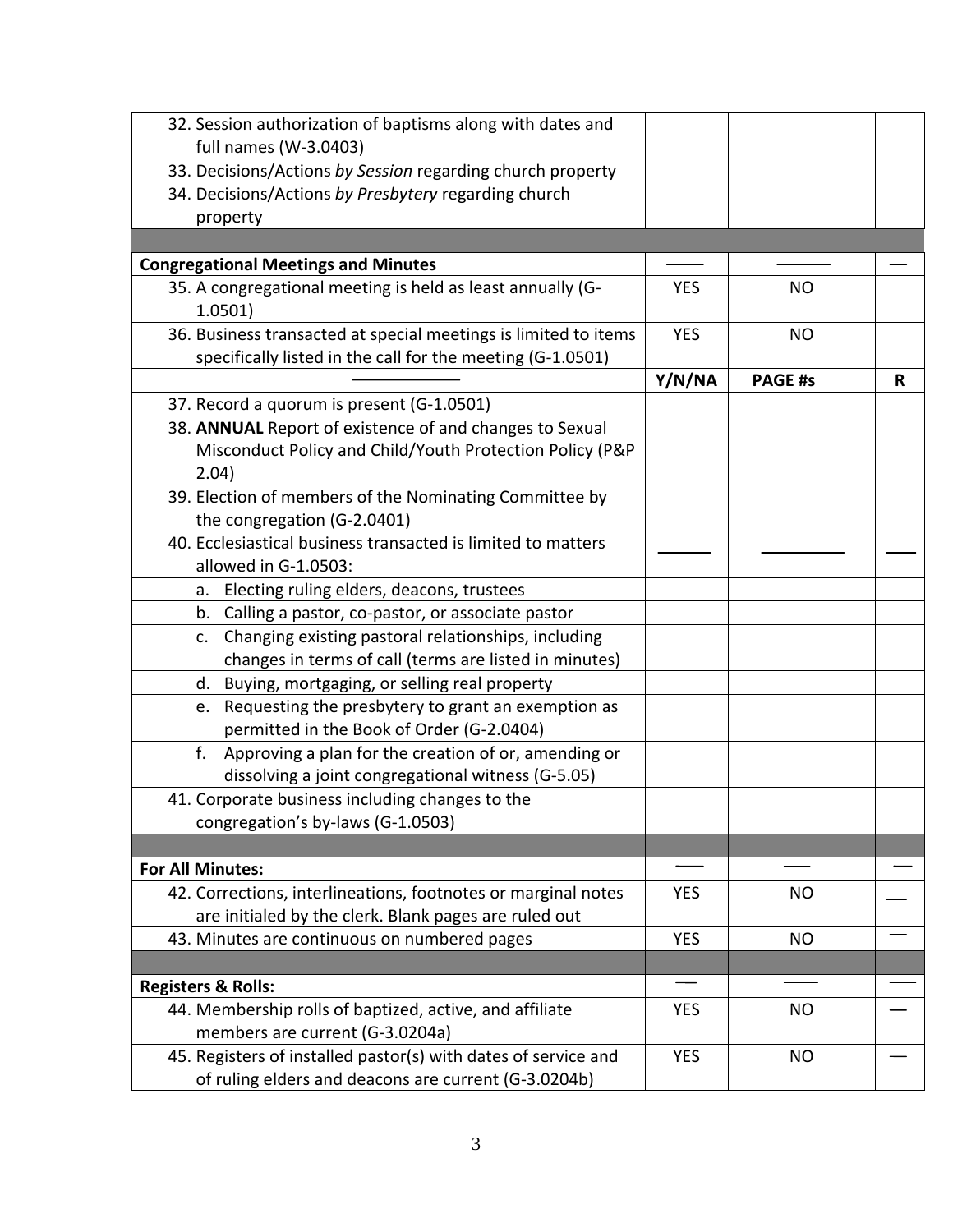| 32. Session authorization of baptisms along with dates and            |            |                |   |
|-----------------------------------------------------------------------|------------|----------------|---|
| full names (W-3.0403)                                                 |            |                |   |
| 33. Decisions/Actions by Session regarding church property            |            |                |   |
| 34. Decisions/Actions by Presbytery regarding church                  |            |                |   |
| property                                                              |            |                |   |
|                                                                       |            |                |   |
| <b>Congregational Meetings and Minutes</b>                            |            |                |   |
| 35. A congregational meeting is held as least annually (G-<br>1.0501) | <b>YES</b> | <b>NO</b>      |   |
| 36. Business transacted at special meetings is limited to items       | <b>YES</b> | <b>NO</b>      |   |
| specifically listed in the call for the meeting (G-1.0501)            |            |                |   |
|                                                                       | Y/N/NA     | <b>PAGE #s</b> | R |
| 37. Record a quorum is present (G-1.0501)                             |            |                |   |
| 38. ANNUAL Report of existence of and changes to Sexual               |            |                |   |
| Misconduct Policy and Child/Youth Protection Policy (P&P<br>2.04)     |            |                |   |
| 39. Election of members of the Nominating Committee by                |            |                |   |
| the congregation (G-2.0401)                                           |            |                |   |
| 40. Ecclesiastical business transacted is limited to matters          |            |                |   |
| allowed in G-1.0503:                                                  |            |                |   |
| a. Electing ruling elders, deacons, trustees                          |            |                |   |
| b. Calling a pastor, co-pastor, or associate pastor                   |            |                |   |
| c. Changing existing pastoral relationships, including                |            |                |   |
| changes in terms of call (terms are listed in minutes)                |            |                |   |
| d. Buying, mortgaging, or selling real property                       |            |                |   |
| e. Requesting the presbytery to grant an exemption as                 |            |                |   |
| permitted in the Book of Order (G-2.0404)                             |            |                |   |
| Approving a plan for the creation of or, amending or<br>f.            |            |                |   |
| dissolving a joint congregational witness (G-5.05)                    |            |                |   |
| 41. Corporate business including changes to the                       |            |                |   |
| congregation's by-laws (G-1.0503)                                     |            |                |   |
|                                                                       |            |                |   |
| <b>For All Minutes:</b>                                               |            |                |   |
| 42. Corrections, interlineations, footnotes or marginal notes         | <b>YES</b> | <b>NO</b>      |   |
| are initialed by the clerk. Blank pages are ruled out                 |            |                |   |
| 43. Minutes are continuous on numbered pages                          | <b>YES</b> | <b>NO</b>      |   |
|                                                                       |            |                |   |
| <b>Registers &amp; Rolls:</b>                                         |            |                |   |
| 44. Membership rolls of baptized, active, and affiliate               | <b>YES</b> | <b>NO</b>      |   |
| members are current (G-3.0204a)                                       |            |                |   |
| 45. Registers of installed pastor(s) with dates of service and        | <b>YES</b> | <b>NO</b>      |   |
| of ruling elders and deacons are current (G-3.0204b)                  |            |                |   |